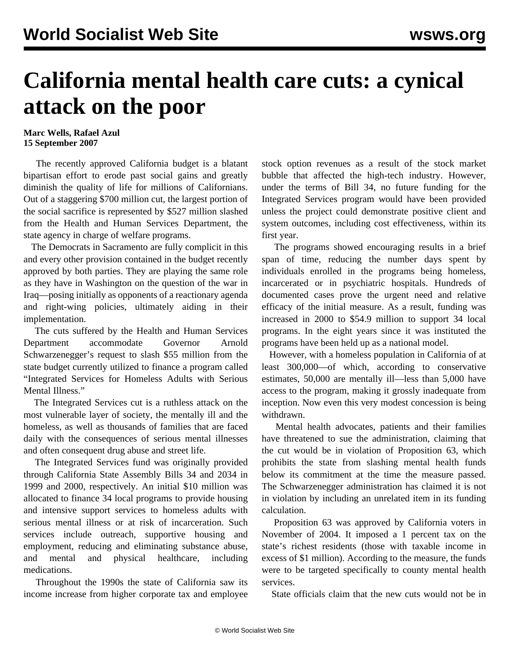## **California mental health care cuts: a cynical attack on the poor**

## **Marc Wells, Rafael Azul 15 September 2007**

 The recently approved California budget is a blatant bipartisan effort to erode past social gains and greatly diminish the quality of life for millions of Californians. Out of a staggering \$700 million cut, the largest portion of the social sacrifice is represented by \$527 million slashed from the Health and Human Services Department, the state agency in charge of welfare programs.

 The Democrats in Sacramento are fully complicit in this and every other provision contained in the budget recently approved by both parties. They are playing the same role as they have in Washington on the question of the war in Iraq—posing initially as opponents of a reactionary agenda and right-wing policies, ultimately aiding in their implementation.

 The cuts suffered by the Health and Human Services Department accommodate Governor Arnold Schwarzenegger's request to slash \$55 million from the state budget currently utilized to finance a program called "Integrated Services for Homeless Adults with Serious Mental Illness."

 The Integrated Services cut is a ruthless attack on the most vulnerable layer of society, the mentally ill and the homeless, as well as thousands of families that are faced daily with the consequences of serious mental illnesses and often consequent drug abuse and street life.

 The Integrated Services fund was originally provided through California State Assembly Bills 34 and 2034 in 1999 and 2000, respectively. An initial \$10 million was allocated to finance 34 local programs to provide housing and intensive support services to homeless adults with serious mental illness or at risk of incarceration. Such services include outreach, supportive housing and employment, reducing and eliminating substance abuse, and mental and physical healthcare, including medications.

 Throughout the 1990s the state of California saw its income increase from higher corporate tax and employee stock option revenues as a result of the stock market bubble that affected the high-tech industry. However, under the terms of Bill 34, no future funding for the Integrated Services program would have been provided unless the project could demonstrate positive client and system outcomes, including cost effectiveness, within its first year.

 The programs showed encouraging results in a brief span of time, reducing the number days spent by individuals enrolled in the programs being homeless, incarcerated or in psychiatric hospitals. Hundreds of documented cases prove the urgent need and relative efficacy of the initial measure. As a result, funding was increased in 2000 to \$54.9 million to support 34 local programs. In the eight years since it was instituted the programs have been held up as a national model.

 However, with a homeless population in California of at least 300,000—of which, according to conservative estimates, 50,000 are mentally ill—less than 5,000 have access to the program, making it grossly inadequate from inception. Now even this very modest concession is being withdrawn.

 Mental health advocates, patients and their families have threatened to sue the administration, claiming that the cut would be in violation of Proposition 63, which prohibits the state from slashing mental health funds below its commitment at the time the measure passed. The Schwarzenegger administration has claimed it is not in violation by including an unrelated item in its funding calculation.

 Proposition 63 was approved by California voters in November of 2004. It imposed a 1 percent tax on the state's richest residents (those with taxable income in excess of \$1 million). According to the measure, the funds were to be targeted specifically to county mental health services.

State officials claim that the new cuts would not be in